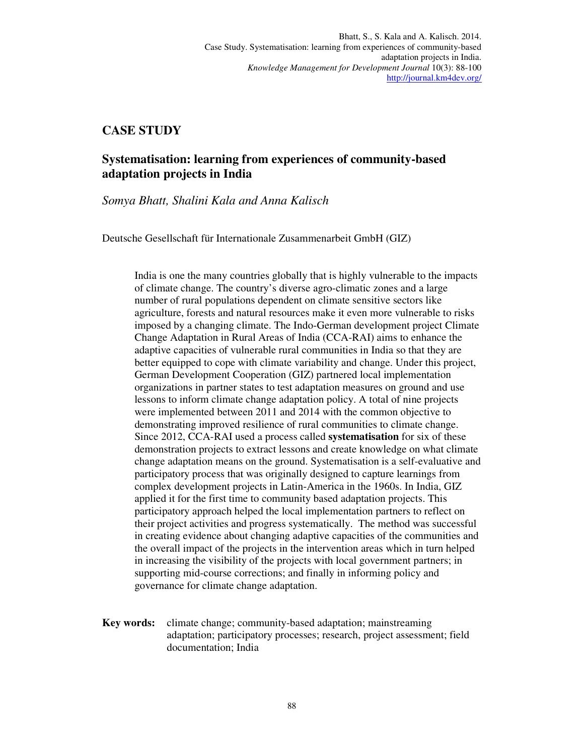# **CASE STUDY**

# **Systematisation: learning from experiences of community-based adaptation projects in India**

*Somya Bhatt, Shalini Kala and Anna Kalisch* 

Deutsche Gesellschaft für Internationale Zusammenarbeit GmbH (GIZ)

India is one the many countries globally that is highly vulnerable to the impacts of climate change. The country's diverse agro-climatic zones and a large number of rural populations dependent on climate sensitive sectors like agriculture, forests and natural resources make it even more vulnerable to risks imposed by a changing climate. The Indo-German development project Climate Change Adaptation in Rural Areas of India (CCA-RAI) aims to enhance the adaptive capacities of vulnerable rural communities in India so that they are better equipped to cope with climate variability and change. Under this project, German Development Cooperation (GIZ) partnered local implementation organizations in partner states to test adaptation measures on ground and use lessons to inform climate change adaptation policy. A total of nine projects were implemented between 2011 and 2014 with the common objective to demonstrating improved resilience of rural communities to climate change. Since 2012, CCA-RAI used a process called **systematisation** for six of these demonstration projects to extract lessons and create knowledge on what climate change adaptation means on the ground. Systematisation is a self-evaluative and participatory process that was originally designed to capture learnings from complex development projects in Latin-America in the 1960s. In India, GIZ applied it for the first time to community based adaptation projects. This participatory approach helped the local implementation partners to reflect on their project activities and progress systematically. The method was successful in creating evidence about changing adaptive capacities of the communities and the overall impact of the projects in the intervention areas which in turn helped in increasing the visibility of the projects with local government partners; in supporting mid-course corrections; and finally in informing policy and governance for climate change adaptation.

**Key words:** climate change; community-based adaptation; mainstreaming adaptation; participatory processes; research, project assessment; field documentation; India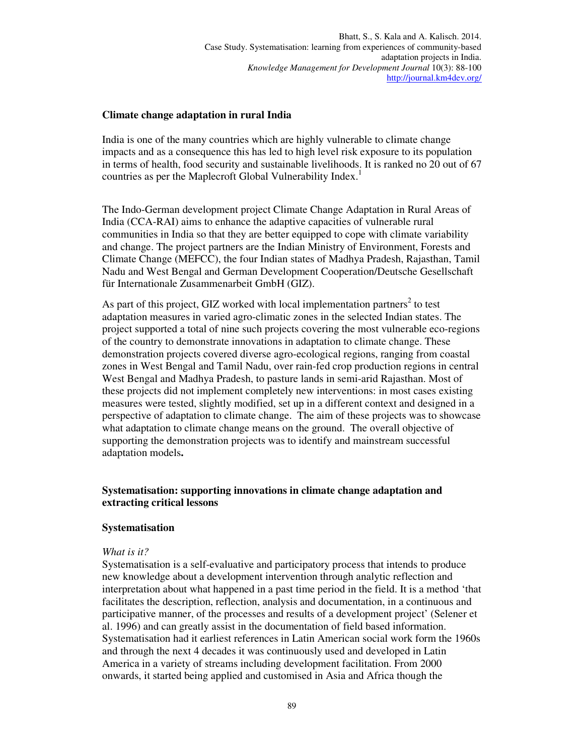### **Climate change adaptation in rural India**

India is one of the many countries which are highly vulnerable to climate change impacts and as a consequence this has led to high level risk exposure to its population in terms of health, food security and sustainable livelihoods. It is ranked no 20 out of 67 countries as per the Maplecroft Global Vulnerability Index.<sup>1</sup>

The Indo-German development project Climate Change Adaptation in Rural Areas of India (CCA-RAI) aims to enhance the adaptive capacities of vulnerable rural communities in India so that they are better equipped to cope with climate variability and change. The project partners are the Indian Ministry of Environment, Forests and Climate Change (MEFCC), the four Indian states of Madhya Pradesh, Rajasthan, Tamil Nadu and West Bengal and German Development Cooperation/Deutsche Gesellschaft für Internationale Zusammenarbeit GmbH (GIZ).

As part of this project, GIZ worked with local implementation partners<sup>2</sup> to test adaptation measures in varied agro-climatic zones in the selected Indian states. The project supported a total of nine such projects covering the most vulnerable eco-regions of the country to demonstrate innovations in adaptation to climate change. These demonstration projects covered diverse agro-ecological regions, ranging from coastal zones in West Bengal and Tamil Nadu, over rain-fed crop production regions in central West Bengal and Madhya Pradesh, to pasture lands in semi-arid Rajasthan. Most of these projects did not implement completely new interventions: in most cases existing measures were tested, slightly modified, set up in a different context and designed in a perspective of adaptation to climate change. The aim of these projects was to showcase what adaptation to climate change means on the ground. The overall objective of supporting the demonstration projects was to identify and mainstream successful adaptation models**.** 

### **Systematisation: supporting innovations in climate change adaptation and extracting critical lessons**

### **Systematisation**

### *What is it?*

Systematisation is a self-evaluative and participatory process that intends to produce new knowledge about a development intervention through analytic reflection and interpretation about what happened in a past time period in the field. It is a method 'that facilitates the description, reflection, analysis and documentation, in a continuous and participative manner, of the processes and results of a development project' (Selener et al. 1996) and can greatly assist in the documentation of field based information. Systematisation had it earliest references in Latin American social work form the 1960s and through the next 4 decades it was continuously used and developed in Latin America in a variety of streams including development facilitation. From 2000 onwards, it started being applied and customised in Asia and Africa though the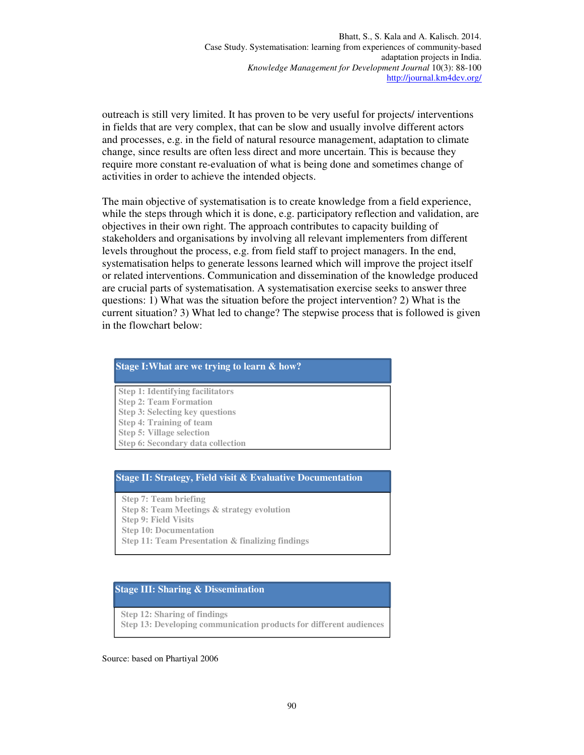outreach is still very limited. It has proven to be very useful for projects/ interventions in fields that are very complex, that can be slow and usually involve different actors and processes, e.g. in the field of natural resource management, adaptation to climate change, since results are often less direct and more uncertain. This is because they require more constant re-evaluation of what is being done and sometimes change of activities in order to achieve the intended objects.

The main objective of systematisation is to create knowledge from a field experience, while the steps through which it is done, e.g. participatory reflection and validation, are objectives in their own right. The approach contributes to capacity building of stakeholders and organisations by involving all relevant implementers from different levels throughout the process, e.g. from field staff to project managers. In the end, systematisation helps to generate lessons learned which will improve the project itself or related interventions. Communication and dissemination of the knowledge produced are crucial parts of systematisation. A systematisation exercise seeks to answer three questions: 1) What was the situation before the project intervention? 2) What is the current situation? 3) What led to change? The stepwise process that is followed is given in the flowchart below:

#### **Stage I:What are we trying to learn & how?**

- **Step 1: Identifying facilitators Step 2: Team Formation Step 3: Selecting key questions Step 4: Training of team**
- **Step 5: Village selection**

**Step 6: Secondary data collection**

#### **Stage II: Strategy, Field visit & Evaluative Documentation**

**Step 7: Team briefing Step 8: Team Meetings & strategy evolution Step 9: Field Visits Step 10: Documentation Step 11: Team Presentation & finalizing findings** 

#### **Stage III: Sharing & Dissemination**

**Step 12: Sharing of findings Step 13: Developing communication products for different audiences**

Source: based on Phartiyal 2006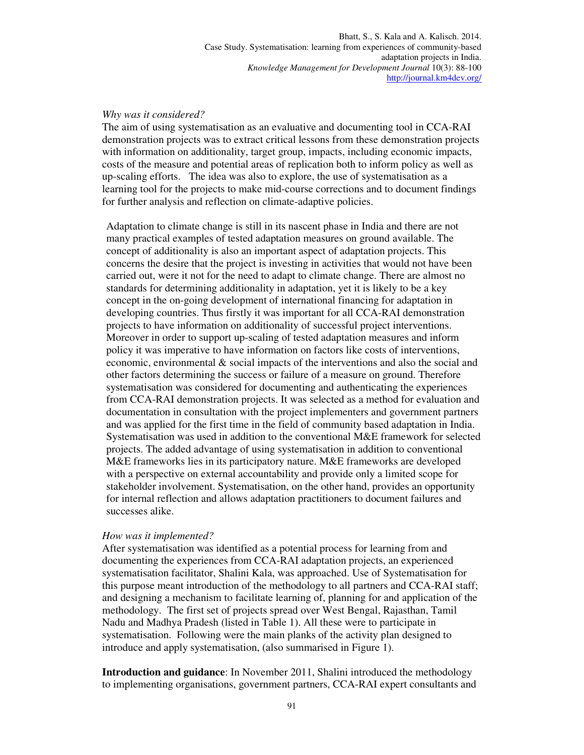### *Why was it considered?*

The aim of using systematisation as an evaluative and documenting tool in CCA-RAI demonstration projects was to extract critical lessons from these demonstration projects with information on additionality, target group, impacts, including economic impacts, costs of the measure and potential areas of replication both to inform policy as well as up-scaling efforts. The idea was also to explore, the use of systematisation as a learning tool for the projects to make mid-course corrections and to document findings for further analysis and reflection on climate-adaptive policies.

Adaptation to climate change is still in its nascent phase in India and there are not many practical examples of tested adaptation measures on ground available. The concept of additionality is also an important aspect of adaptation projects. This concerns the desire that the project is investing in activities that would not have been carried out, were it not for the need to adapt to climate change. There are almost no standards for determining additionality in adaptation, yet it is likely to be a key concept in the on-going development of international financing for adaptation in developing countries. Thus firstly it was important for all CCA-RAI demonstration projects to have information on additionality of successful project interventions. Moreover in order to support up-scaling of tested adaptation measures and inform policy it was imperative to have information on factors like costs of interventions, economic, environmental & social impacts of the interventions and also the social and other factors determining the success or failure of a measure on ground. Therefore systematisation was considered for documenting and authenticating the experiences from CCA-RAI demonstration projects. It was selected as a method for evaluation and documentation in consultation with the project implementers and government partners and was applied for the first time in the field of community based adaptation in India. Systematisation was used in addition to the conventional M&E framework for selected projects. The added advantage of using systematisation in addition to conventional M&E frameworks lies in its participatory nature. M&E frameworks are developed with a perspective on external accountability and provide only a limited scope for stakeholder involvement. Systematisation, on the other hand, provides an opportunity for internal reflection and allows adaptation practitioners to document failures and successes alike.

#### *How was it implemented?*

After systematisation was identified as a potential process for learning from and documenting the experiences from CCA-RAI adaptation projects, an experienced systematisation facilitator, Shalini Kala, was approached. Use of Systematisation for this purpose meant introduction of the methodology to all partners and CCA-RAI staff; and designing a mechanism to facilitate learning of, planning for and application of the methodology. The first set of projects spread over West Bengal, Rajasthan, Tamil Nadu and Madhya Pradesh (listed in Table 1). All these were to participate in systematisation. Following were the main planks of the activity plan designed to introduce and apply systematisation, (also summarised in Figure 1).

**Introduction and guidance**: In November 2011, Shalini introduced the methodology to implementing organisations, government partners, CCA-RAI expert consultants and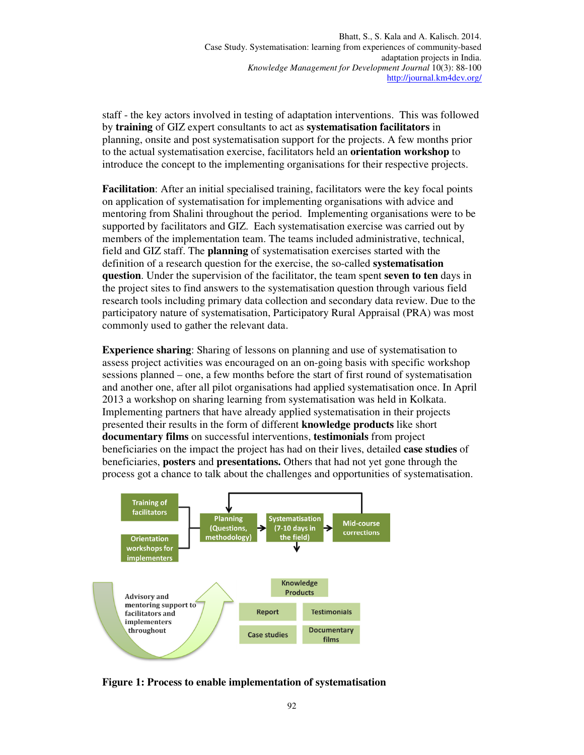staff - the key actors involved in testing of adaptation interventions. This was followed by **training** of GIZ expert consultants to act as **systematisation facilitators** in planning, onsite and post systematisation support for the projects. A few months prior to the actual systematisation exercise, facilitators held an **orientation workshop** to introduce the concept to the implementing organisations for their respective projects.

**Facilitation**: After an initial specialised training, facilitators were the key focal points on application of systematisation for implementing organisations with advice and mentoring from Shalini throughout the period. Implementing organisations were to be supported by facilitators and GIZ. Each systematisation exercise was carried out by members of the implementation team. The teams included administrative, technical, field and GIZ staff. The **planning** of systematisation exercises started with the definition of a research question for the exercise, the so-called **systematisation question**. Under the supervision of the facilitator, the team spent **seven to ten** days in the project sites to find answers to the systematisation question through various field research tools including primary data collection and secondary data review. Due to the participatory nature of systematisation, Participatory Rural Appraisal (PRA) was most commonly used to gather the relevant data.

**Experience sharing**: Sharing of lessons on planning and use of systematisation to assess project activities was encouraged on an on-going basis with specific workshop sessions planned – one, a few months before the start of first round of systematisation and another one, after all pilot organisations had applied systematisation once. In April 2013 a workshop on sharing learning from systematisation was held in Kolkata. Implementing partners that have already applied systematisation in their projects presented their results in the form of different **knowledge products** like short **documentary films** on successful interventions, **testimonials** from project beneficiaries on the impact the project has had on their lives, detailed **case studies** of beneficiaries, **posters** and **presentations.** Others that had not yet gone through the process got a chance to talk about the challenges and opportunities of systematisation.



**Figure 1: Process to enable implementation of systematisation**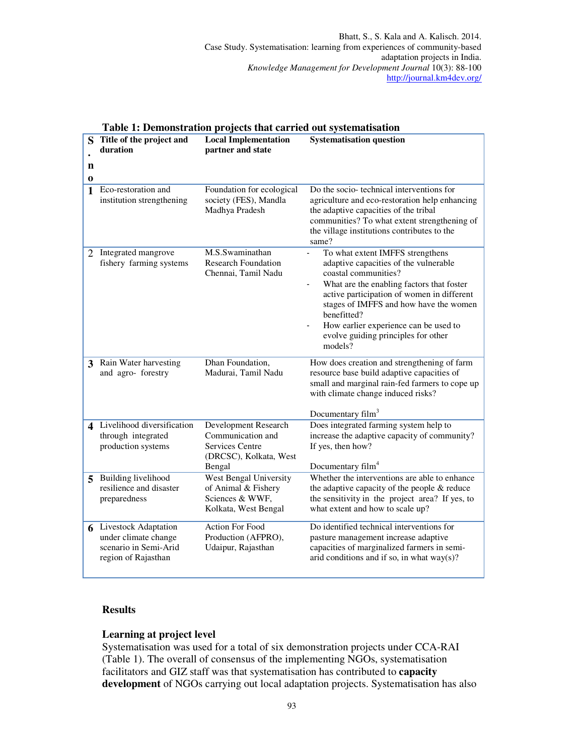| S             | Title of the project and<br>duration                                                                | <b>Local Implementation</b><br>partner and state                                                        | <b>Systematisation question</b>                                                                                                                                                                                                                                                                                                                                    |
|---------------|-----------------------------------------------------------------------------------------------------|---------------------------------------------------------------------------------------------------------|--------------------------------------------------------------------------------------------------------------------------------------------------------------------------------------------------------------------------------------------------------------------------------------------------------------------------------------------------------------------|
| n<br>$\bf{0}$ |                                                                                                     |                                                                                                         |                                                                                                                                                                                                                                                                                                                                                                    |
| $\mathbf{1}$  | Eco-restoration and<br>institution strengthening                                                    | Foundation for ecological<br>society (FES), Mandla<br>Madhya Pradesh                                    | Do the socio-technical interventions for<br>agriculture and eco-restoration help enhancing<br>the adaptive capacities of the tribal<br>communities? To what extent strengthening of<br>the village institutions contributes to the<br>same?                                                                                                                        |
|               | 2 Integrated mangrove<br>fishery farming systems                                                    | M.S.Swaminathan<br><b>Research Foundation</b><br>Chennai, Tamil Nadu                                    | To what extent IMFFS strengthens<br>$\overline{a}$<br>adaptive capacities of the vulnerable<br>coastal communities?<br>What are the enabling factors that foster<br>active participation of women in different<br>stages of IMFFS and how have the women<br>benefitted?<br>How earlier experience can be used to<br>evolve guiding principles for other<br>models? |
| 3             | Rain Water harvesting<br>and agro- forestry                                                         | Dhan Foundation,<br>Madurai, Tamil Nadu                                                                 | How does creation and strengthening of farm<br>resource base build adaptive capacities of<br>small and marginal rain-fed farmers to cope up<br>with climate change induced risks?<br>Documentary film <sup>3</sup>                                                                                                                                                 |
|               | 4 Livelihood diversification<br>through integrated<br>production systems                            | Development Research<br>Communication and<br><b>Services Centre</b><br>(DRCSC), Kolkata, West<br>Bengal | Does integrated farming system help to<br>increase the adaptive capacity of community?<br>If yes, then how?<br>Documentary film <sup>4</sup>                                                                                                                                                                                                                       |
| 5             | Building livelihood<br>resilience and disaster<br>preparedness                                      | West Bengal University<br>of Animal & Fishery<br>Sciences & WWF,<br>Kolkata, West Bengal                | Whether the interventions are able to enhance<br>the adaptive capacity of the people $\&$ reduce<br>the sensitivity in the project area? If yes, to<br>what extent and how to scale up?                                                                                                                                                                            |
| 6             | <b>Livestock Adaptation</b><br>under climate change<br>scenario in Semi-Arid<br>region of Rajasthan | <b>Action For Food</b><br>Production (AFPRO),<br>Udaipur, Rajasthan                                     | Do identified technical interventions for<br>pasture management increase adaptive<br>capacities of marginalized farmers in semi-<br>arid conditions and if so, in what $way(s)$ ?                                                                                                                                                                                  |

### **Table 1: Demonstration projects that carried out systematisation**

## **Results**

### **Learning at project level**

Systematisation was used for a total of six demonstration projects under CCA-RAI (Table 1). The overall of consensus of the implementing NGOs, systematisation facilitators and GIZ staff was that systematisation has contributed to **capacity development** of NGOs carrying out local adaptation projects. Systematisation has also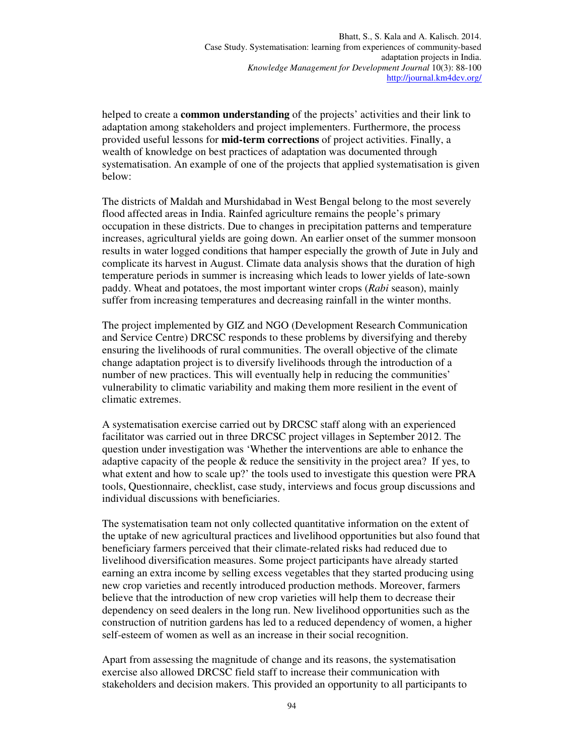helped to create a **common understanding** of the projects' activities and their link to adaptation among stakeholders and project implementers. Furthermore, the process provided useful lessons for **mid-term corrections** of project activities. Finally, a wealth of knowledge on best practices of adaptation was documented through systematisation. An example of one of the projects that applied systematisation is given below:

The districts of Maldah and Murshidabad in West Bengal belong to the most severely flood affected areas in India. Rainfed agriculture remains the people's primary occupation in these districts. Due to changes in precipitation patterns and temperature increases, agricultural yields are going down. An earlier onset of the summer monsoon results in water logged conditions that hamper especially the growth of Jute in July and complicate its harvest in August. Climate data analysis shows that the duration of high temperature periods in summer is increasing which leads to lower yields of late-sown paddy. Wheat and potatoes, the most important winter crops (*Rabi* season), mainly suffer from increasing temperatures and decreasing rainfall in the winter months.

The project implemented by GIZ and NGO (Development Research Communication and Service Centre) DRCSC responds to these problems by diversifying and thereby ensuring the livelihoods of rural communities. The overall objective of the climate change adaptation project is to diversify livelihoods through the introduction of a number of new practices. This will eventually help in reducing the communities' vulnerability to climatic variability and making them more resilient in the event of climatic extremes.

A systematisation exercise carried out by DRCSC staff along with an experienced facilitator was carried out in three DRCSC project villages in September 2012. The question under investigation was 'Whether the interventions are able to enhance the adaptive capacity of the people & reduce the sensitivity in the project area? If yes, to what extent and how to scale up?' the tools used to investigate this question were PRA tools, Questionnaire, checklist, case study, interviews and focus group discussions and individual discussions with beneficiaries.

The systematisation team not only collected quantitative information on the extent of the uptake of new agricultural practices and livelihood opportunities but also found that beneficiary farmers perceived that their climate-related risks had reduced due to livelihood diversification measures. Some project participants have already started earning an extra income by selling excess vegetables that they started producing using new crop varieties and recently introduced production methods. Moreover, farmers believe that the introduction of new crop varieties will help them to decrease their dependency on seed dealers in the long run. New livelihood opportunities such as the construction of nutrition gardens has led to a reduced dependency of women, a higher self-esteem of women as well as an increase in their social recognition.

Apart from assessing the magnitude of change and its reasons, the systematisation exercise also allowed DRCSC field staff to increase their communication with stakeholders and decision makers. This provided an opportunity to all participants to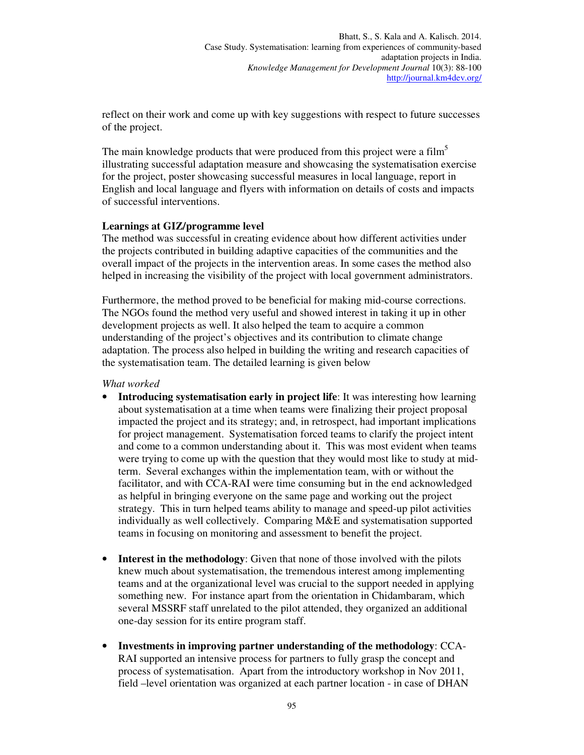reflect on their work and come up with key suggestions with respect to future successes of the project.

The main knowledge products that were produced from this project were a film<sup>5</sup> illustrating successful adaptation measure and showcasing the systematisation exercise for the project, poster showcasing successful measures in local language, report in English and local language and flyers with information on details of costs and impacts of successful interventions.

### **Learnings at GIZ/programme level**

The method was successful in creating evidence about how different activities under the projects contributed in building adaptive capacities of the communities and the overall impact of the projects in the intervention areas. In some cases the method also helped in increasing the visibility of the project with local government administrators.

Furthermore, the method proved to be beneficial for making mid-course corrections. The NGOs found the method very useful and showed interest in taking it up in other development projects as well. It also helped the team to acquire a common understanding of the project's objectives and its contribution to climate change adaptation. The process also helped in building the writing and research capacities of the systematisation team. The detailed learning is given below

### *What worked*

- **Introducing systematisation early in project life:** It was interesting how learning about systematisation at a time when teams were finalizing their project proposal impacted the project and its strategy; and, in retrospect, had important implications for project management. Systematisation forced teams to clarify the project intent and come to a common understanding about it. This was most evident when teams were trying to come up with the question that they would most like to study at midterm. Several exchanges within the implementation team, with or without the facilitator, and with CCA-RAI were time consuming but in the end acknowledged as helpful in bringing everyone on the same page and working out the project strategy. This in turn helped teams ability to manage and speed-up pilot activities individually as well collectively. Comparing M&E and systematisation supported teams in focusing on monitoring and assessment to benefit the project.
- **Interest in the methodology**: Given that none of those involved with the pilots knew much about systematisation, the tremendous interest among implementing teams and at the organizational level was crucial to the support needed in applying something new. For instance apart from the orientation in Chidambaram, which several MSSRF staff unrelated to the pilot attended, they organized an additional one-day session for its entire program staff.
- **Investments in improving partner understanding of the methodology**: CCA-RAI supported an intensive process for partners to fully grasp the concept and process of systematisation. Apart from the introductory workshop in Nov 2011, field –level orientation was organized at each partner location - in case of DHAN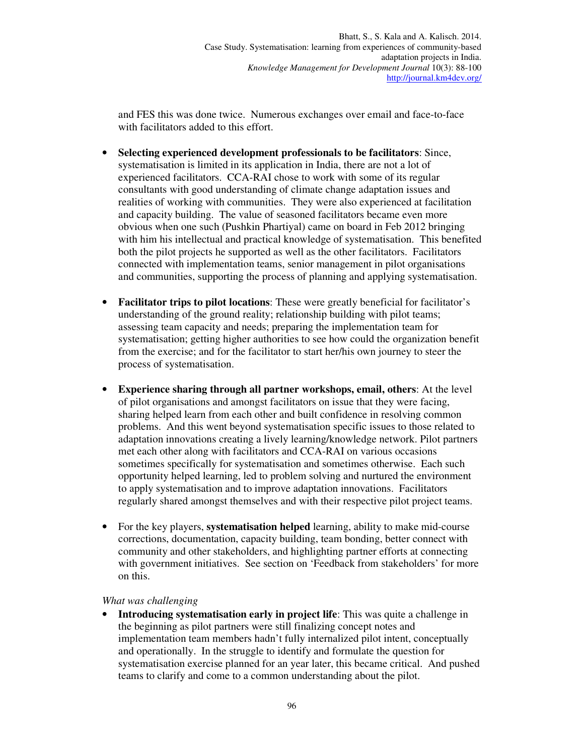and FES this was done twice. Numerous exchanges over email and face-to-face with facilitators added to this effort.

- **Selecting experienced development professionals to be facilitators**: Since, systematisation is limited in its application in India, there are not a lot of experienced facilitators. CCA-RAI chose to work with some of its regular consultants with good understanding of climate change adaptation issues and realities of working with communities. They were also experienced at facilitation and capacity building. The value of seasoned facilitators became even more obvious when one such (Pushkin Phartiyal) came on board in Feb 2012 bringing with him his intellectual and practical knowledge of systematisation. This benefited both the pilot projects he supported as well as the other facilitators. Facilitators connected with implementation teams, senior management in pilot organisations and communities, supporting the process of planning and applying systematisation.
- **Facilitator trips to pilot locations**: These were greatly beneficial for facilitator's understanding of the ground reality; relationship building with pilot teams; assessing team capacity and needs; preparing the implementation team for systematisation; getting higher authorities to see how could the organization benefit from the exercise; and for the facilitator to start her/his own journey to steer the process of systematisation.
- **Experience sharing through all partner workshops, email, others**: At the level of pilot organisations and amongst facilitators on issue that they were facing, sharing helped learn from each other and built confidence in resolving common problems. And this went beyond systematisation specific issues to those related to adaptation innovations creating a lively learning/knowledge network. Pilot partners met each other along with facilitators and CCA-RAI on various occasions sometimes specifically for systematisation and sometimes otherwise. Each such opportunity helped learning, led to problem solving and nurtured the environment to apply systematisation and to improve adaptation innovations. Facilitators regularly shared amongst themselves and with their respective pilot project teams.
- For the key players, **systematisation helped** learning, ability to make mid-course corrections, documentation, capacity building, team bonding, better connect with community and other stakeholders, and highlighting partner efforts at connecting with government initiatives. See section on 'Feedback from stakeholders' for more on this.

### *What was challenging*

**Introducing systematisation early in project life:** This was quite a challenge in the beginning as pilot partners were still finalizing concept notes and implementation team members hadn't fully internalized pilot intent, conceptually and operationally. In the struggle to identify and formulate the question for systematisation exercise planned for an year later, this became critical. And pushed teams to clarify and come to a common understanding about the pilot.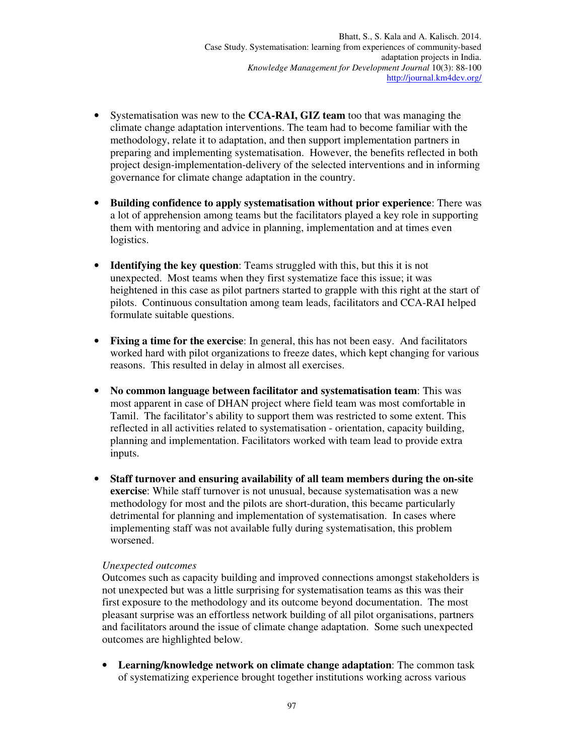- Systematisation was new to the **CCA-RAI, GIZ team** too that was managing the climate change adaptation interventions. The team had to become familiar with the methodology, relate it to adaptation, and then support implementation partners in preparing and implementing systematisation. However, the benefits reflected in both project design-implementation-delivery of the selected interventions and in informing governance for climate change adaptation in the country.
- **Building confidence to apply systematisation without prior experience**: There was a lot of apprehension among teams but the facilitators played a key role in supporting them with mentoring and advice in planning, implementation and at times even logistics.
- **Identifying the key question**: Teams struggled with this, but this it is not unexpected. Most teams when they first systematize face this issue; it was heightened in this case as pilot partners started to grapple with this right at the start of pilots. Continuous consultation among team leads, facilitators and CCA-RAI helped formulate suitable questions.
- **Fixing a time for the exercise**: In general, this has not been easy. And facilitators worked hard with pilot organizations to freeze dates, which kept changing for various reasons. This resulted in delay in almost all exercises.
- **No common language between facilitator and systematisation team**: This was most apparent in case of DHAN project where field team was most comfortable in Tamil. The facilitator's ability to support them was restricted to some extent. This reflected in all activities related to systematisation - orientation, capacity building, planning and implementation. Facilitators worked with team lead to provide extra inputs.
- **Staff turnover and ensuring availability of all team members during the on-site exercise**: While staff turnover is not unusual, because systematisation was a new methodology for most and the pilots are short-duration, this became particularly detrimental for planning and implementation of systematisation. In cases where implementing staff was not available fully during systematisation, this problem worsened.

### *Unexpected outcomes*

Outcomes such as capacity building and improved connections amongst stakeholders is not unexpected but was a little surprising for systematisation teams as this was their first exposure to the methodology and its outcome beyond documentation. The most pleasant surprise was an effortless network building of all pilot organisations, partners and facilitators around the issue of climate change adaptation. Some such unexpected outcomes are highlighted below.

• **Learning/knowledge network on climate change adaptation**: The common task of systematizing experience brought together institutions working across various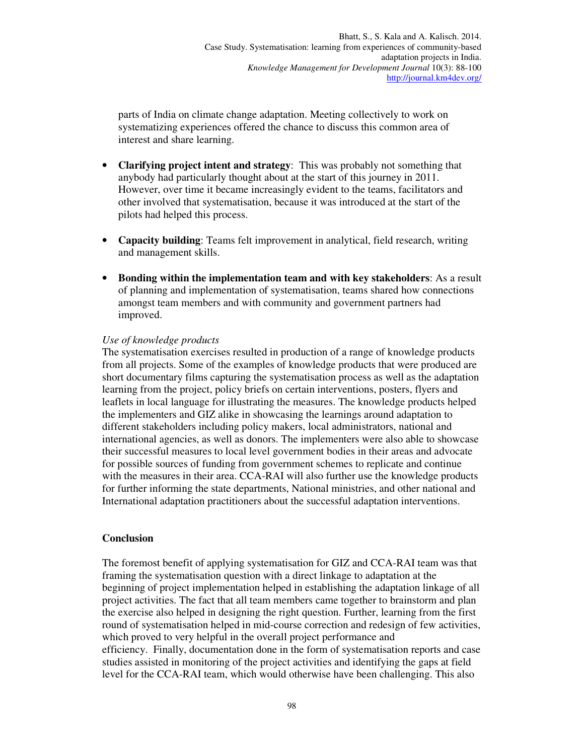parts of India on climate change adaptation. Meeting collectively to work on systematizing experiences offered the chance to discuss this common area of interest and share learning.

- **Clarifying project intent and strategy**: This was probably not something that anybody had particularly thought about at the start of this journey in 2011. However, over time it became increasingly evident to the teams, facilitators and other involved that systematisation, because it was introduced at the start of the pilots had helped this process.
- **Capacity building**: Teams felt improvement in analytical, field research, writing and management skills.
- **Bonding within the implementation team and with key stakeholders**: As a result of planning and implementation of systematisation, teams shared how connections amongst team members and with community and government partners had improved.

## *Use of knowledge products*

The systematisation exercises resulted in production of a range of knowledge products from all projects. Some of the examples of knowledge products that were produced are short documentary films capturing the systematisation process as well as the adaptation learning from the project, policy briefs on certain interventions, posters, flyers and leaflets in local language for illustrating the measures. The knowledge products helped the implementers and GIZ alike in showcasing the learnings around adaptation to different stakeholders including policy makers, local administrators, national and international agencies, as well as donors. The implementers were also able to showcase their successful measures to local level government bodies in their areas and advocate for possible sources of funding from government schemes to replicate and continue with the measures in their area. CCA-RAI will also further use the knowledge products for further informing the state departments, National ministries, and other national and International adaptation practitioners about the successful adaptation interventions.

### **Conclusion**

The foremost benefit of applying systematisation for GIZ and CCA-RAI team was that framing the systematisation question with a direct linkage to adaptation at the beginning of project implementation helped in establishing the adaptation linkage of all project activities. The fact that all team members came together to brainstorm and plan the exercise also helped in designing the right question. Further, learning from the first round of systematisation helped in mid-course correction and redesign of few activities, which proved to very helpful in the overall project performance and efficiency. Finally, documentation done in the form of systematisation reports and case studies assisted in monitoring of the project activities and identifying the gaps at field level for the CCA-RAI team, which would otherwise have been challenging. This also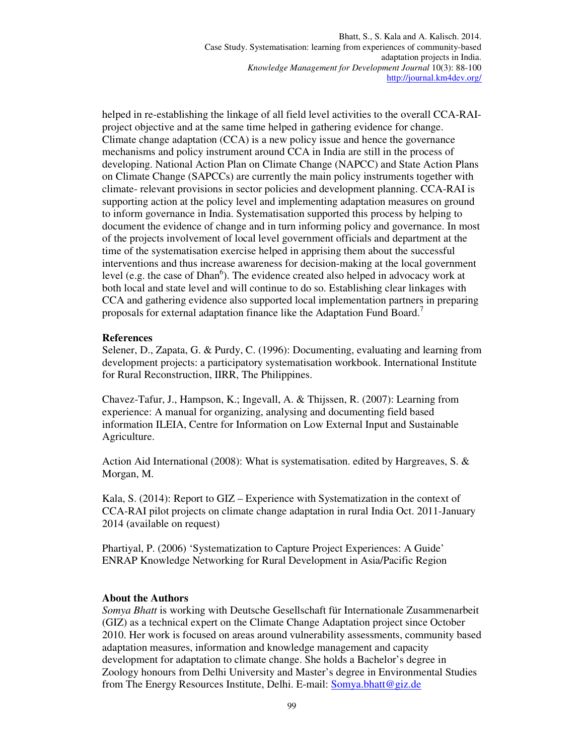helped in re-establishing the linkage of all field level activities to the overall CCA-RAIproject objective and at the same time helped in gathering evidence for change. Climate change adaptation (CCA) is a new policy issue and hence the governance mechanisms and policy instrument around CCA in India are still in the process of developing. National Action Plan on Climate Change (NAPCC) and State Action Plans on Climate Change (SAPCCs) are currently the main policy instruments together with climate- relevant provisions in sector policies and development planning. CCA-RAI is supporting action at the policy level and implementing adaptation measures on ground to inform governance in India. Systematisation supported this process by helping to document the evidence of change and in turn informing policy and governance. In most of the projects involvement of local level government officials and department at the time of the systematisation exercise helped in apprising them about the successful interventions and thus increase awareness for decision-making at the local government level (e.g. the case of Dhan<sup>6</sup>). The evidence created also helped in advocacy work at both local and state level and will continue to do so. Establishing clear linkages with CCA and gathering evidence also supported local implementation partners in preparing proposals for external adaptation finance like the Adaptation Fund Board.<sup>7</sup>

### **References**

Selener, D., Zapata, G. & Purdy, C. (1996): Documenting, evaluating and learning from development projects: a participatory systematisation workbook. International Institute for Rural Reconstruction, IIRR, The Philippines.

Chavez-Tafur, J., Hampson, K.; Ingevall, A. & Thijssen, R. (2007): Learning from experience: A manual for organizing, analysing and documenting field based information ILEIA, Centre for Information on Low External Input and Sustainable Agriculture.

Action Aid International (2008): What is systematisation. edited by Hargreaves, S. & Morgan, M.

Kala, S. (2014): Report to GIZ – Experience with Systematization in the context of CCA-RAI pilot projects on climate change adaptation in rural India Oct. 2011-January 2014 (available on request)

Phartiyal, P. (2006) 'Systematization to Capture Project Experiences: A Guide' ENRAP Knowledge Networking for Rural Development in Asia/Pacific Region

### **About the Authors**

*Somya Bhatt* is working with Deutsche Gesellschaft für Internationale Zusammenarbeit (GIZ) as a technical expert on the Climate Change Adaptation project since October 2010. Her work is focused on areas around vulnerability assessments, community based adaptation measures, information and knowledge management and capacity development for adaptation to climate change. She holds a Bachelor's degree in Zoology honours from Delhi University and Master's degree in Environmental Studies from The Energy Resources Institute, Delhi. E-mail: Somya.bhatt@giz.de